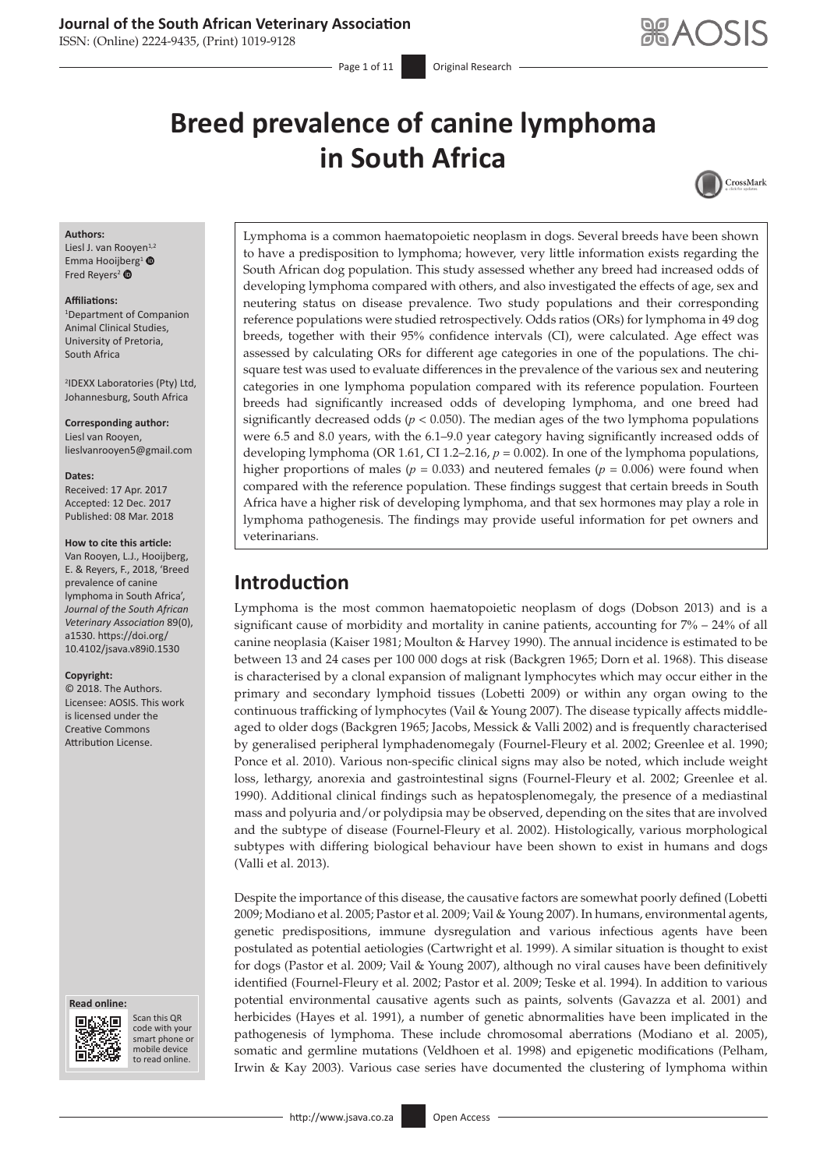### **Journal of the South African Veterinary Association**

ISSN: (Online) 2224-9435, (Print) 1019-9128

Page 1 of 11 **Original Research** 

# **Breed prevalence of canine lymphoma in South Africa**



#### **Authors:**

Liesl J. va[n](http://orcid.org/0000-0002-4367-799X) Rooyen<sup>1,2</sup> Emma Hooijberg<sup>1</sup> Fred Reyers<sup>2</sup>

#### **Affiliations:**

1 Department of Companion Animal Clinical Studies, University of Pretoria, South Africa

2 IDEXX Laboratories (Pty) Ltd, Johannesburg, South Africa

**Corresponding author:** Liesl van Rooyen, [lieslvanrooyen5@gmail.com](mailto:lieslvanrooyen5@gmail.com)

#### **Dates:**

Received: 17 Apr. 2017 Accepted: 12 Dec. 2017 Published: 08 Mar. 2018

#### **How to cite this article:**

Van Rooyen, L.J., Hooijberg, E. & Reyers, F., 2018, 'Breed prevalence of canine lymphoma in South Africa', *Journal of the South African Veterinary Association* 89(0), a1530. [https://doi.org/](https://doi.org/10.4102/jsava.v89i0.1530) [10.4102/jsava.v89i0.1530](https://doi.org/10.4102/jsava.v89i0.1530)

#### **Copyright:**

© 2018. The Authors. Licensee: AOSIS. This work is licensed under the Creative Commons Attribution License.

#### **Read online: Read**



Scan this QR code with your Scan this QR<br>code with your<br>smart phone or<br>mobile device mobile device to read online. to read online.

Lymphoma is a common haematopoietic neoplasm in dogs. Several breeds have been shown to have a predisposition to lymphoma; however, very little information exists regarding the South African dog population. This study assessed whether any breed had increased odds of developing lymphoma compared with others, and also investigated the effects of age, sex and neutering status on disease prevalence. Two study populations and their corresponding reference populations were studied retrospectively. Odds ratios (ORs) for lymphoma in 49 dog breeds, together with their 95% confidence intervals (CI), were calculated. Age effect was assessed by calculating ORs for different age categories in one of the populations. The chisquare test was used to evaluate differences in the prevalence of the various sex and neutering categories in one lymphoma population compared with its reference population. Fourteen breeds had significantly increased odds of developing lymphoma, and one breed had significantly decreased odds ( $p < 0.050$ ). The median ages of the two lymphoma populations were 6.5 and 8.0 years, with the 6.1–9.0 year category having significantly increased odds of developing lymphoma (OR 1.61, CI 1.2–2.16, *p* = 0.002). In one of the lymphoma populations, higher proportions of males ( $p = 0.033$ ) and neutered females ( $p = 0.006$ ) were found when compared with the reference population. These findings suggest that certain breeds in South Africa have a higher risk of developing lymphoma, and that sex hormones may play a role in lymphoma pathogenesis. The findings may provide useful information for pet owners and veterinarians.

# **Introduction**

Lymphoma is the most common haematopoietic neoplasm of dogs (Dobson 2013) and is a significant cause of morbidity and mortality in canine patients, accounting for 7% – 24% of all canine neoplasia (Kaiser 1981; Moulton & Harvey 1990). The annual incidence is estimated to be between 13 and 24 cases per 100 000 dogs at risk (Backgren 1965; Dorn et al. 1968). This disease is characterised by a clonal expansion of malignant lymphocytes which may occur either in the primary and secondary lymphoid tissues (Lobetti 2009) or within any organ owing to the continuous trafficking of lymphocytes (Vail & Young 2007). The disease typically affects middleaged to older dogs (Backgren 1965; Jacobs, Messick & Valli 2002) and is frequently characterised by generalised peripheral lymphadenomegaly (Fournel-Fleury et al. 2002; Greenlee et al. 1990; Ponce et al. 2010). Various non-specific clinical signs may also be noted, which include weight loss, lethargy, anorexia and gastrointestinal signs (Fournel-Fleury et al. 2002; Greenlee et al. 1990). Additional clinical findings such as hepatosplenomegaly, the presence of a mediastinal mass and polyuria and/or polydipsia may be observed, depending on the sites that are involved and the subtype of disease (Fournel-Fleury et al. 2002). Histologically, various morphological subtypes with differing biological behaviour have been shown to exist in humans and dogs (Valli et al. 2013).

Despite the importance of this disease, the causative factors are somewhat poorly defined (Lobetti 2009; Modiano et al. 2005; Pastor et al. 2009; Vail & Young 2007). In humans, environmental agents, genetic predispositions, immune dysregulation and various infectious agents have been postulated as potential aetiologies (Cartwright et al. 1999). A similar situation is thought to exist for dogs (Pastor et al. 2009; Vail & Young 2007), although no viral causes have been definitively identified (Fournel-Fleury et al. 2002; Pastor et al. 2009; Teske et al. 1994). In addition to various potential environmental causative agents such as paints, solvents (Gavazza et al. 2001) and herbicides (Hayes et al. 1991), a number of genetic abnormalities have been implicated in the pathogenesis of lymphoma. These include chromosomal aberrations (Modiano et al. 2005), somatic and germline mutations (Veldhoen et al. 1998) and epigenetic modifications (Pelham, Irwin & Kay 2003). Various case series have documented the clustering of lymphoma within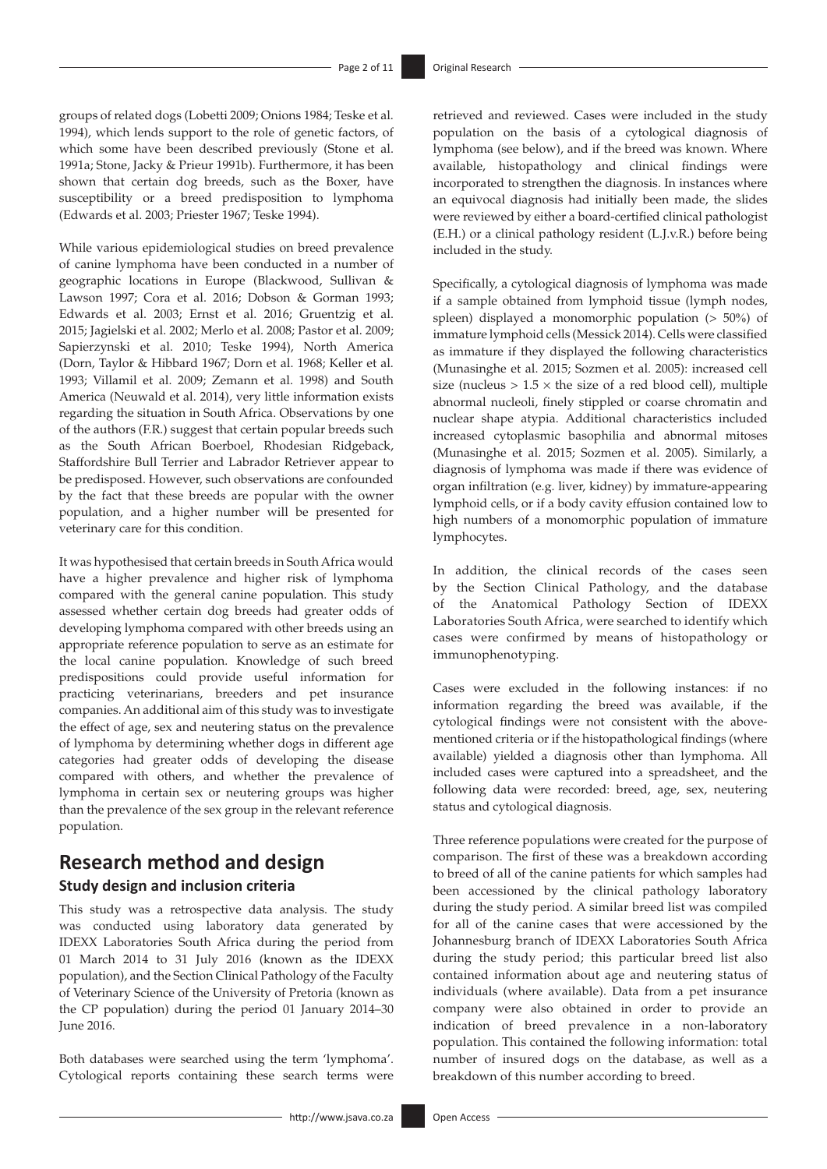groups of related dogs (Lobetti 2009; Onions 1984; Teske et al. 1994), which lends support to the role of genetic factors, of which some have been described previously (Stone et al. 1991a; Stone, Jacky & Prieur 1991b). Furthermore, it has been shown that certain dog breeds, such as the Boxer, have susceptibility or a breed predisposition to lymphoma (Edwards et al. 2003; Priester 1967; Teske 1994).

While various epidemiological studies on breed prevalence of canine lymphoma have been conducted in a number of geographic locations in Europe (Blackwood, Sullivan & Lawson 1997; Cora et al. 2016; Dobson & Gorman 1993; Edwards et al. 2003; Ernst et al. 2016; Gruentzig et al. 2015; Jagielski et al. 2002; Merlo et al. 2008; Pastor et al. 2009; Sapierzynski et al. 2010; Teske 1994), North America (Dorn, Taylor & Hibbard 1967; Dorn et al. 1968; Keller et al. 1993; Villamil et al. 2009; Zemann et al. 1998) and South America (Neuwald et al. 2014), very little information exists regarding the situation in South Africa. Observations by one of the authors (F.R.) suggest that certain popular breeds such as the South African Boerboel, Rhodesian Ridgeback, Staffordshire Bull Terrier and Labrador Retriever appear to be predisposed. However, such observations are confounded by the fact that these breeds are popular with the owner population, and a higher number will be presented for veterinary care for this condition.

It was hypothesised that certain breeds in South Africa would have a higher prevalence and higher risk of lymphoma compared with the general canine population. This study assessed whether certain dog breeds had greater odds of developing lymphoma compared with other breeds using an appropriate reference population to serve as an estimate for the local canine population. Knowledge of such breed predispositions could provide useful information for practicing veterinarians, breeders and pet insurance companies. An additional aim of this study was to investigate the effect of age, sex and neutering status on the prevalence of lymphoma by determining whether dogs in different age categories had greater odds of developing the disease compared with others, and whether the prevalence of lymphoma in certain sex or neutering groups was higher than the prevalence of the sex group in the relevant reference population.

# **Research method and design Study design and inclusion criteria**

This study was a retrospective data analysis. The study was conducted using laboratory data generated by IDEXX Laboratories South Africa during the period from 01 March 2014 to 31 July 2016 (known as the IDEXX population), and the Section Clinical Pathology of the Faculty of Veterinary Science of the University of Pretoria (known as the CP population) during the period 01 January 2014–30 June 2016.

Both databases were searched using the term 'lymphoma'. Cytological reports containing these search terms were

retrieved and reviewed. Cases were included in the study population on the basis of a cytological diagnosis of lymphoma (see below), and if the breed was known. Where available, histopathology and clinical findings were incorporated to strengthen the diagnosis. In instances where an equivocal diagnosis had initially been made, the slides were reviewed by either a board-certified clinical pathologist (E.H.) or a clinical pathology resident (L.J.v.R.) before being included in the study.

Specifically, a cytological diagnosis of lymphoma was made if a sample obtained from lymphoid tissue (lymph nodes, spleen) displayed a monomorphic population (> 50%) of immature lymphoid cells (Messick 2014). Cells were classified as immature if they displayed the following characteristics (Munasinghe et al. 2015; Sozmen et al. 2005): increased cell size (nucleus  $> 1.5 \times$  the size of a red blood cell), multiple abnormal nucleoli, finely stippled or coarse chromatin and nuclear shape atypia. Additional characteristics included increased cytoplasmic basophilia and abnormal mitoses (Munasinghe et al. 2015; Sozmen et al. 2005). Similarly, a diagnosis of lymphoma was made if there was evidence of organ infiltration (e.g. liver, kidney) by immature-appearing lymphoid cells, or if a body cavity effusion contained low to high numbers of a monomorphic population of immature lymphocytes.

In addition, the clinical records of the cases seen by the Section Clinical Pathology, and the database of the Anatomical Pathology Section of IDEXX Laboratories South Africa, were searched to identify which cases were confirmed by means of histopathology or immunophenotyping.

Cases were excluded in the following instances: if no information regarding the breed was available, if the cytological findings were not consistent with the abovementioned criteria or if the histopathological findings (where available) yielded a diagnosis other than lymphoma. All included cases were captured into a spreadsheet, and the following data were recorded: breed, age, sex, neutering status and cytological diagnosis.

Three reference populations were created for the purpose of comparison. The first of these was a breakdown according to breed of all of the canine patients for which samples had been accessioned by the clinical pathology laboratory during the study period. A similar breed list was compiled for all of the canine cases that were accessioned by the Johannesburg branch of IDEXX Laboratories South Africa during the study period; this particular breed list also contained information about age and neutering status of individuals (where available). Data from a pet insurance company were also obtained in order to provide an indication of breed prevalence in a non-laboratory population. This contained the following information: total number of insured dogs on the database, as well as a breakdown of this number according to breed.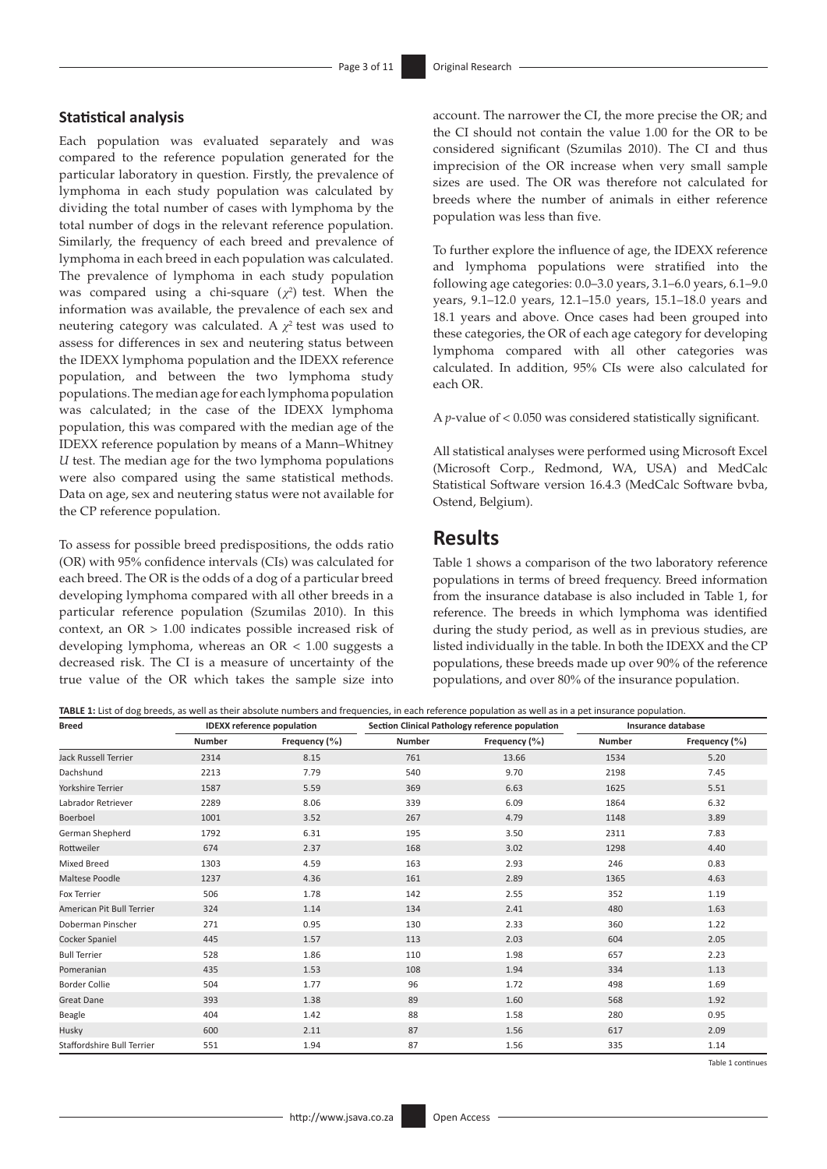### **Statistical analysis**

Each population was evaluated separately and was compared to the reference population generated for the particular laboratory in question. Firstly, the prevalence of lymphoma in each study population was calculated by dividing the total number of cases with lymphoma by the total number of dogs in the relevant reference population. Similarly, the frequency of each breed and prevalence of lymphoma in each breed in each population was calculated. The prevalence of lymphoma in each study population was compared using a chi-square  $(\chi^2)$  test. When the information was available, the prevalence of each sex and neutering category was calculated. A  $\chi^2$  test was used to assess for differences in sex and neutering status between the IDEXX lymphoma population and the IDEXX reference population, and between the two lymphoma study populations. The median age for each lymphoma population was calculated; in the case of the IDEXX lymphoma population, this was compared with the median age of the IDEXX reference population by means of a Mann–Whitney *U* test. The median age for the two lymphoma populations were also compared using the same statistical methods. Data on age, sex and neutering status were not available for the CP reference population.

To assess for possible breed predispositions, the odds ratio (OR) with 95% confidence intervals (CIs) was calculated for each breed. The OR is the odds of a dog of a particular breed developing lymphoma compared with all other breeds in a particular reference population (Szumilas 2010). In this context, an OR > 1.00 indicates possible increased risk of developing lymphoma, whereas an OR < 1.00 suggests a decreased risk. The CI is a measure of uncertainty of the true value of the OR which takes the sample size into

account. The narrower the CI, the more precise the OR; and the CI should not contain the value 1.00 for the OR to be considered significant (Szumilas 2010). The CI and thus imprecision of the OR increase when very small sample sizes are used. The OR was therefore not calculated for breeds where the number of animals in either reference population was less than five.

To further explore the influence of age, the IDEXX reference and lymphoma populations were stratified into the following age categories: 0.0–3.0 years, 3.1–6.0 years, 6.1–9.0 years, 9.1–12.0 years, 12.1–15.0 years, 15.1–18.0 years and 18.1 years and above. Once cases had been grouped into these categories, the OR of each age category for developing lymphoma compared with all other categories was calculated. In addition, 95% CIs were also calculated for each OR.

A *p*-value of < 0.050 was considered statistically significant.

All statistical analyses were performed using Microsoft Excel (Microsoft Corp., Redmond, WA, USA) and MedCalc Statistical Software version 16.4.3 (MedCalc Software bvba, Ostend, Belgium).

### **Results**

Table 1 shows a comparison of the two laboratory reference populations in terms of breed frequency. Breed information from the insurance database is also included in Table 1, for reference. The breeds in which lymphoma was identified during the study period, as well as in previous studies, are listed individually in the table. In both the IDEXX and the CP populations, these breeds made up over 90% of the reference populations, and over 80% of the insurance population.

| <b>Breed</b>                | <b>IDEXX</b> reference population |               | Section Clinical Pathology reference population |               | Insurance database |               |
|-----------------------------|-----------------------------------|---------------|-------------------------------------------------|---------------|--------------------|---------------|
|                             | Number                            | Frequency (%) | <b>Number</b>                                   | Frequency (%) | Number             | Frequency (%) |
| <b>Jack Russell Terrier</b> | 2314                              | 8.15          | 761                                             | 13.66         | 1534               | 5.20          |
| Dachshund                   | 2213                              | 7.79          | 540                                             | 9.70          | 2198               | 7.45          |
| Yorkshire Terrier           | 1587                              | 5.59          | 369                                             | 6.63          | 1625               | 5.51          |
| Labrador Retriever          | 2289                              | 8.06          | 339                                             | 6.09          | 1864               | 6.32          |
| Boerboel                    | 1001                              | 3.52          | 267                                             | 4.79          | 1148               | 3.89          |
| German Shepherd             | 1792                              | 6.31          | 195                                             | 3.50          | 2311               | 7.83          |
| Rottweiler                  | 674                               | 2.37          | 168                                             | 3.02          | 1298               | 4.40          |
| <b>Mixed Breed</b>          | 1303                              | 4.59          | 163                                             | 2.93          | 246                | 0.83          |
| Maltese Poodle              | 1237                              | 4.36          | 161                                             | 2.89          | 1365               | 4.63          |
| Fox Terrier                 | 506                               | 1.78          | 142                                             | 2.55          | 352                | 1.19          |
| American Pit Bull Terrier   | 324                               | 1.14          | 134                                             | 2.41          | 480                | 1.63          |
| Doberman Pinscher           | 271                               | 0.95          | 130                                             | 2.33          | 360                | 1.22          |
| Cocker Spaniel              | 445                               | 1.57          | 113                                             | 2.03          | 604                | 2.05          |
| <b>Bull Terrier</b>         | 528                               | 1.86          | 110                                             | 1.98          | 657                | 2.23          |
| Pomeranian                  | 435                               | 1.53          | 108                                             | 1.94          | 334                | 1.13          |
| <b>Border Collie</b>        | 504                               | 1.77          | 96                                              | 1.72          | 498                | 1.69          |
| <b>Great Dane</b>           | 393                               | 1.38          | 89                                              | 1.60          | 568                | 1.92          |
| Beagle                      | 404                               | 1.42          | 88                                              | 1.58          | 280                | 0.95          |
| Husky                       | 600                               | 2.11          | 87                                              | 1.56          | 617                | 2.09          |
| Staffordshire Bull Terrier  | 551                               | 1.94          | 87                                              | 1.56          | 335                | 1.14          |

**TABLE 1:** List of dog breeds, as well as their absolute numbers and frequencies, in each reference population as well as in a pet insurance population.

Table 1 continues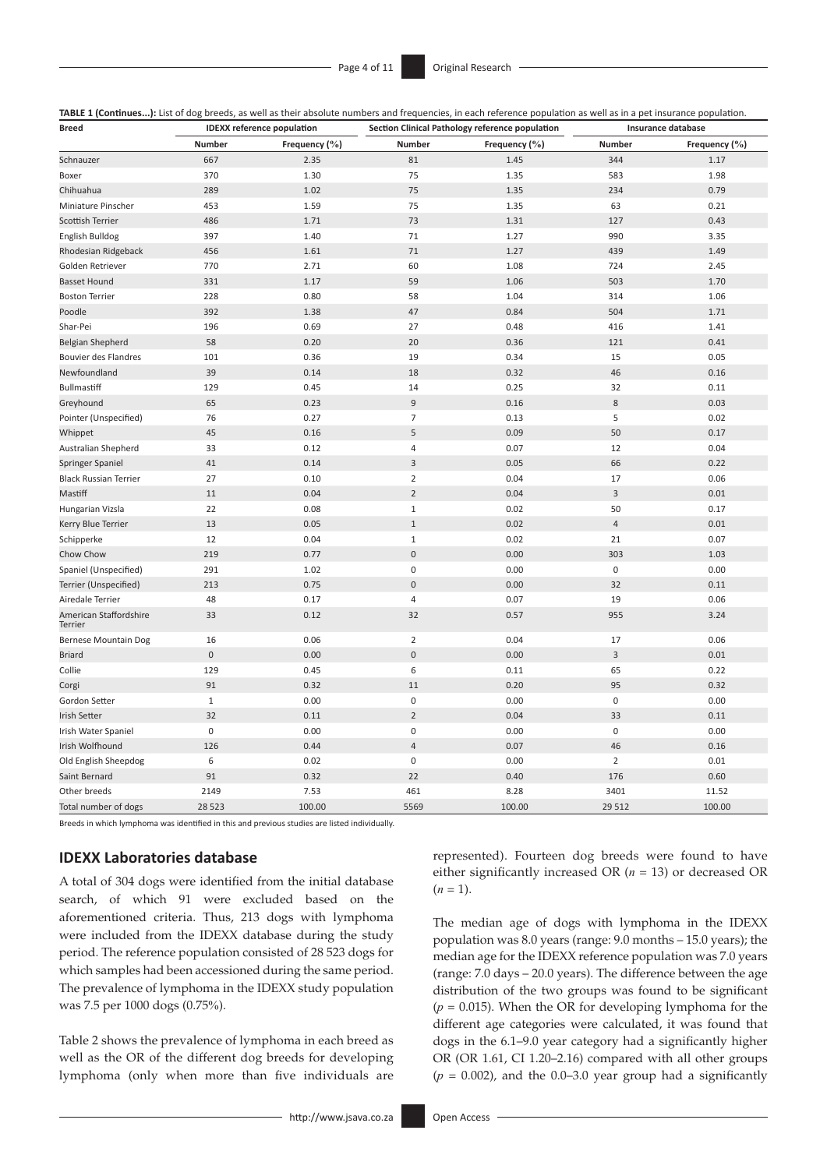**TABLE 1 (Continues...):** List of dog breeds, as well as their absolute numbers and frequencies, in each reference population as well as in a pet insurance population.

| <b>Breed</b>                             | <b>IDEXX</b> reference population |               | Section Clinical Pathology reference population |               | Insurance database |               |
|------------------------------------------|-----------------------------------|---------------|-------------------------------------------------|---------------|--------------------|---------------|
|                                          | <b>Number</b>                     | Frequency (%) | Number                                          | Frequency (%) | <b>Number</b>      | Frequency (%) |
| Schnauzer                                | 667                               | 2.35          | 81                                              | 1.45          | 344                | 1.17          |
| Boxer                                    | 370                               | 1.30          | 75                                              | 1.35          | 583                | 1.98          |
| Chihuahua                                | 289                               | 1.02          | 75                                              | 1.35          | 234                | 0.79          |
| Miniature Pinscher                       | 453                               | 1.59          | 75                                              | 1.35          | 63                 | 0.21          |
| <b>Scottish Terrier</b>                  | 486                               | 1.71          | 73                                              | 1.31          | 127                | 0.43          |
| <b>English Bulldog</b>                   | 397                               | 1.40          | 71                                              | 1.27          | 990                | 3.35          |
| Rhodesian Ridgeback                      | 456                               | 1.61          | 71                                              | 1.27          | 439                | 1.49          |
| Golden Retriever                         | 770                               | 2.71          | 60                                              | 1.08          | 724                | 2.45          |
| <b>Basset Hound</b>                      | 331                               | 1.17          | 59                                              | 1.06          | 503                | 1.70          |
| <b>Boston Terrier</b>                    | 228                               | 0.80          | 58                                              | 1.04          | 314                | 1.06          |
| Poodle                                   | 392                               | 1.38          | 47                                              | 0.84          | 504                | 1.71          |
| Shar-Pei                                 | 196                               | 0.69          | 27                                              | 0.48          | 416                | 1.41          |
| <b>Belgian Shepherd</b>                  | 58                                | 0.20          | 20                                              | 0.36          | 121                | 0.41          |
| Bouvier des Flandres                     | 101                               | 0.36          | 19                                              | 0.34          | 15                 | 0.05          |
| Newfoundland                             | 39                                | 0.14          | 18                                              | 0.32          | 46                 | 0.16          |
| <b>Bullmastiff</b>                       | 129                               | 0.45          | 14                                              | 0.25          | 32                 | 0.11          |
| Greyhound                                | 65                                | 0.23          | $\overline{9}$                                  | 0.16          | $\,8\,$            | 0.03          |
| Pointer (Unspecified)                    | 76                                | 0.27          | $\overline{7}$                                  | 0.13          | 5                  | 0.02          |
| Whippet                                  | 45                                | 0.16          | 5                                               | 0.09          | 50                 | 0.17          |
| Australian Shepherd                      | 33                                | 0.12          | $\overline{4}$                                  | 0.07          | 12                 | 0.04          |
| Springer Spaniel                         | 41                                | 0.14          | 3                                               | 0.05          | 66                 | 0.22          |
| <b>Black Russian Terrier</b>             | 27                                | 0.10          | $\overline{2}$                                  | 0.04          | 17                 | 0.06          |
| Mastiff                                  | 11                                | 0.04          | $\overline{2}$                                  | 0.04          | $\mathsf 3$        | 0.01          |
| Hungarian Vizsla                         | 22                                | 0.08          | $\mathbf{1}$                                    | 0.02          | 50                 | 0.17          |
| Kerry Blue Terrier                       | 13                                | 0.05          | $\mathbf{1}$                                    | 0.02          | $\overline{4}$     | 0.01          |
| Schipperke                               | 12                                | 0.04          | $\,1\,$                                         | 0.02          | 21                 | 0.07          |
| Chow Chow                                | 219                               | 0.77          | $\mathsf{O}\xspace$                             | 0.00          | 303                | 1.03          |
| Spaniel (Unspecified)                    | 291                               | 1.02          | $\mathsf 0$                                     | 0.00          | $\mathbf 0$        | 0.00          |
| Terrier (Unspecified)                    | 213                               | 0.75          | $\overline{0}$                                  | 0.00          | 32                 | 0.11          |
| Airedale Terrier                         | 48                                | 0.17          | $\overline{4}$                                  | 0.07          | 19                 | 0.06          |
| American Staffordshire<br><b>Terrier</b> | 33                                | 0.12          | 32                                              | 0.57          | 955                | 3.24          |
| <b>Bernese Mountain Dog</b>              | 16                                | 0.06          | $\overline{2}$                                  | 0.04          | 17                 | 0.06          |
| <b>Briard</b>                            | $\mathbf 0$                       | 0.00          | $\overline{0}$                                  | 0.00          | $\overline{3}$     | 0.01          |
| Collie                                   | 129                               | 0.45          | 6                                               | 0.11          | 65                 | 0.22          |
| Corgi                                    | 91                                | 0.32          | 11                                              | 0.20          | 95                 | 0.32          |
| Gordon Setter                            | $1\,$                             | 0.00          | $\pmb{0}$                                       | 0.00          | $\pmb{0}$          | 0.00          |
| <b>Irish Setter</b>                      | 32                                | 0.11          | $\overline{2}$                                  | 0.04          | 33                 | 0.11          |
| Irish Water Spaniel                      | $\pmb{0}$                         | 0.00          | $\mathsf 0$                                     | 0.00          | $\bf 0$            | 0.00          |
| Irish Wolfhound                          | 126                               | 0.44          | $\overline{4}$                                  | 0.07          | 46                 | 0.16          |
| Old English Sheepdog                     | 6                                 | 0.02          | $\pmb{0}$                                       | 0.00          | $\overline{2}$     | 0.01          |
| Saint Bernard                            | 91                                | 0.32          | 22                                              | 0.40          | 176                | 0.60          |
| Other breeds                             | 2149                              | 7.53          | 461                                             | 8.28          | 3401               | 11.52         |
| Total number of dogs                     | 28 5 23                           | 100.00        | 5569                                            | 100.00        | 29 512             | 100.00        |

Breeds in which lymphoma was identified in this and previous studies are listed individually.

### **IDEXX Laboratories database**

A total of 304 dogs were identified from the initial database search, of which 91 were excluded based on the aforementioned criteria. Thus, 213 dogs with lymphoma were included from the IDEXX database during the study period. The reference population consisted of 28 523 dogs for which samples had been accessioned during the same period. The prevalence of lymphoma in the IDEXX study population was 7.5 per 1000 dogs (0.75%).

Table 2 shows the prevalence of lymphoma in each breed as well as the OR of the different dog breeds for developing lymphoma (only when more than five individuals are

- <http://www.jsava.co.za> Open Access

represented). Fourteen dog breeds were found to have either significantly increased OR (*n* = 13) or decreased OR  $(n = 1)$ .

The median age of dogs with lymphoma in the IDEXX population was 8.0 years (range: 9.0 months – 15.0 years); the median age for the IDEXX reference population was 7.0 years (range: 7.0 days – 20.0 years). The difference between the age distribution of the two groups was found to be significant  $(p = 0.015)$ . When the OR for developing lymphoma for the different age categories were calculated, it was found that dogs in the 6.1–9.0 year category had a significantly higher OR (OR 1.61, CI 1.20–2.16) compared with all other groups  $(p = 0.002)$ , and the 0.0–3.0 year group had a significantly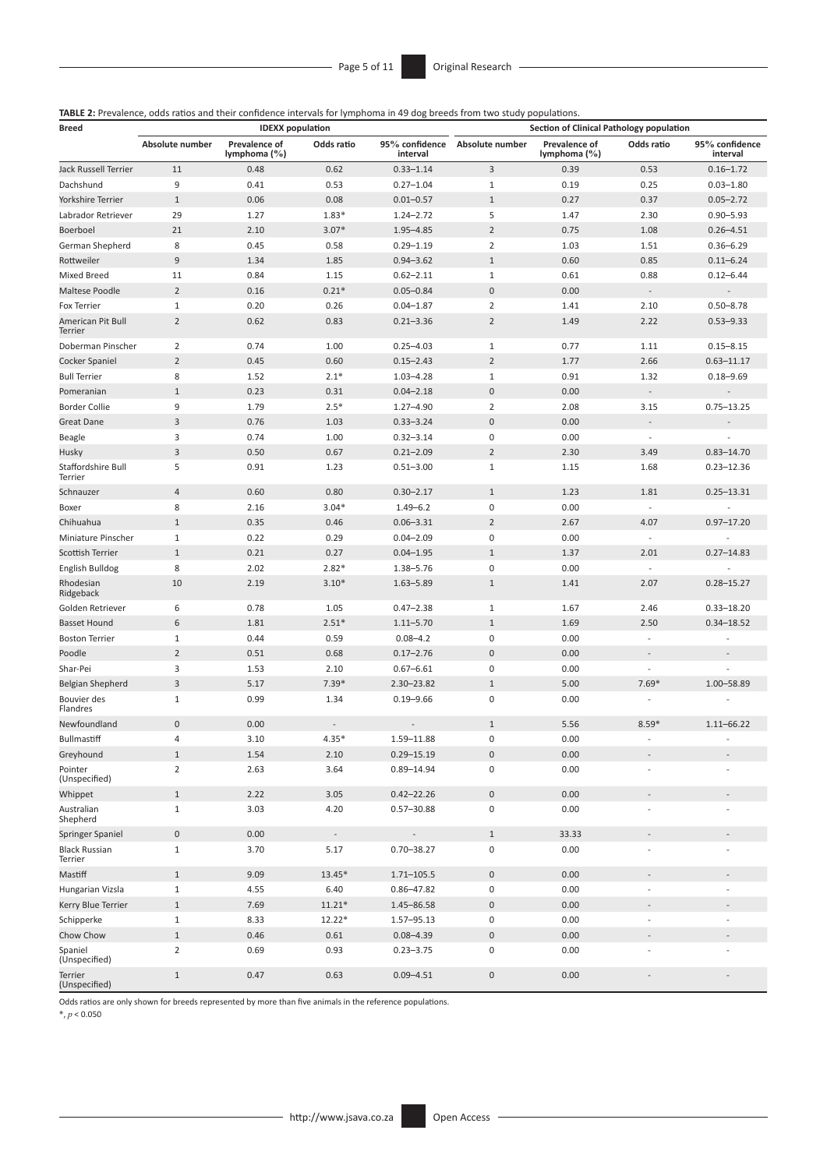| TABLE 2: Prevalence, odds ratios and their confidence intervals for lymphoma in 49 dog breeds from two study populations. |  |
|---------------------------------------------------------------------------------------------------------------------------|--|
|---------------------------------------------------------------------------------------------------------------------------|--|

| Breed                           | <b>IDEXX</b> population |                                  | Section of Clinical Pathology population |                            |                     |                               |                          |                            |
|---------------------------------|-------------------------|----------------------------------|------------------------------------------|----------------------------|---------------------|-------------------------------|--------------------------|----------------------------|
|                                 | Absolute number         | Prevalence of<br>lymphoma $(\%)$ | Odds ratio                               | 95% confidence<br>interval | Absolute number     | Prevalence of<br>lymphoma (%) | Odds ratio               | 95% confidence<br>interval |
| Jack Russell Terrier            | 11                      | 0.48                             | 0.62                                     | $0.33 - 1.14$              | 3                   | 0.39                          | 0.53                     | $0.16 - 1.72$              |
| Dachshund                       | 9                       | 0.41                             | 0.53                                     | $0.27 - 1.04$              | $\mathbf{1}$        | 0.19                          | 0.25                     | $0.03 - 1.80$              |
| Yorkshire Terrier               | $\mathbf{1}$            | 0.06                             | 0.08                                     | $0.01 - 0.57$              | $\mathbf{1}$        | 0.27                          | 0.37                     | $0.05 - 2.72$              |
| Labrador Retriever              | 29                      | 1.27                             | $1.83*$                                  | $1.24 - 2.72$              | 5                   | 1.47                          | 2.30                     | $0.90 - 5.93$              |
| Boerboel                        | 21                      | 2.10                             | $3.07*$                                  | $1.95 - 4.85$              | $\overline{2}$      | 0.75                          | 1.08                     | $0.26 - 4.51$              |
| German Shepherd                 | 8                       | 0.45                             | 0.58                                     | $0.29 - 1.19$              | $\overline{2}$      | 1.03                          | 1.51                     | $0.36 - 6.29$              |
| Rottweiler                      | 9                       | 1.34                             | 1.85                                     | $0.94 - 3.62$              | $\mathbf{1}$        | 0.60                          | 0.85                     | $0.11 - 6.24$              |
| Mixed Breed                     | 11                      | 0.84                             | 1.15                                     | $0.62 - 2.11$              | $\mathbf{1}$        | 0.61                          | 0.88                     | $0.12 - 6.44$              |
| <b>Maltese Poodle</b>           | $\overline{2}$          | 0.16                             | $0.21*$                                  | $0.05 - 0.84$              | $\mathbf 0$         | 0.00                          | $\overline{\phantom{m}}$ | $\overline{\phantom{m}}$   |
| Fox Terrier                     | $1\,$                   | 0.20                             | 0.26                                     | $0.04 - 1.87$              | $\overline{2}$      | 1.41                          | 2.10                     | $0.50 - 8.78$              |
| American Pit Bull<br>Terrier    | $\overline{2}$          | 0.62                             | 0.83                                     | $0.21 - 3.36$              | $\overline{2}$      | 1.49                          | 2.22                     | $0.53 - 9.33$              |
| Doberman Pinscher               | 2                       | 0.74                             | 1.00                                     | $0.25 - 4.03$              | $\mathbf{1}$        | 0.77                          | 1.11                     | $0.15 - 8.15$              |
| Cocker Spaniel                  | $\overline{2}$          | 0.45                             | 0.60                                     | $0.15 - 2.43$              | $\overline{2}$      | 1.77                          | 2.66                     | $0.63 - 11.17$             |
| <b>Bull Terrier</b>             | 8                       | 1.52                             | $2.1*$                                   | $1.03 - 4.28$              | $\mathbf{1}$        | 0.91                          | 1.32                     | $0.18 - 9.69$              |
| Pomeranian                      | $\mathbf{1}$            | 0.23                             | 0.31                                     | $0.04 - 2.18$              | $\mathbf 0$         | 0.00                          | $\overline{a}$           | $\overline{a}$             |
| <b>Border Collie</b>            | 9                       | 1.79                             | $2.5*$                                   | $1.27 - 4.90$              | $\overline{2}$      | 2.08                          | 3.15                     | $0.75 - 13.25$             |
| <b>Great Dane</b>               | 3                       | 0.76                             | 1.03                                     | $0.33 - 3.24$              | $\mathbf 0$         | 0.00                          | $\overline{a}$           |                            |
| Beagle                          | 3                       | 0.74                             | 1.00                                     | $0.32 - 3.14$              | $\mathbf 0$         | 0.00                          | $\overline{\phantom{a}}$ |                            |
| Husky                           | $\mathsf 3$             | 0.50                             | 0.67                                     | $0.21 - 2.09$              | $\overline{2}$      | 2.30                          | 3.49                     | $0.83 - 14.70$             |
| Staffordshire Bull<br>Terrier   | 5                       | 0.91                             | 1.23                                     | $0.51 - 3.00$              | $\mathbf{1}$        | 1.15                          | 1.68                     | $0.23 - 12.36$             |
| Schnauzer                       | $\overline{4}$          | 0.60                             | 0.80                                     | $0.30 - 2.17$              | $\mathbf{1}$        | 1.23                          | 1.81                     | $0.25 - 13.31$             |
| Boxer                           | 8                       | 2.16                             | $3.04*$                                  | $1.49 - 6.2$               | $\mathbf 0$         | 0.00                          | $\overline{a}$           |                            |
| Chihuahua                       | $1\,$                   | 0.35                             | 0.46                                     | $0.06 - 3.31$              | $\overline{2}$      | 2.67                          | 4.07                     | $0.97 - 17.20$             |
| Miniature Pinscher              | $\mathbf{1}$            | 0.22                             | 0.29                                     | $0.04 - 2.09$              | 0                   | 0.00                          | $\overline{\phantom{a}}$ |                            |
| Scottish Terrier                | $\mathbf{1}$            | 0.21                             | 0.27                                     | $0.04 - 1.95$              | $\mathbf{1}$        | 1.37                          | 2.01                     | $0.27 - 14.83$             |
| English Bulldog                 | 8                       | 2.02                             | $2.82*$                                  | 1.38-5.76                  | $\mathbf 0$         | 0.00                          |                          |                            |
| Rhodesian                       | 10                      | 2.19                             | $3.10*$                                  | $1.63 - 5.89$              | $\mathbf{1}$        | 1.41                          | 2.07                     | $0.28 - 15.27$             |
| Ridgeback                       |                         |                                  |                                          |                            |                     |                               |                          |                            |
| Golden Retriever                | 6                       | 0.78                             | 1.05                                     | $0.47 - 2.38$              | $\mathbf{1}$        | 1.67                          | 2.46                     | $0.33 - 18.20$             |
| <b>Basset Hound</b>             | 6                       | 1.81                             | $2.51*$                                  | $1.11 - 5.70$              | $\mathbf{1}$        | 1.69                          | 2.50                     | $0.34 - 18.52$             |
| <b>Boston Terrier</b>           | $1\,$                   | 0.44                             | 0.59                                     | $0.08 - 4.2$               | $\mathbf 0$         | 0.00                          | $\overline{a}$           |                            |
| Poodle                          | $\overline{2}$          | 0.51                             | 0.68                                     | $0.17 - 2.76$              | $\mathbf 0$         | 0.00                          |                          |                            |
| Shar-Pei                        | 3                       | 1.53                             | 2.10                                     | $0.67 - 6.61$              | 0                   | 0.00                          |                          |                            |
| <b>Belgian Shepherd</b>         | 3                       | 5.17                             | $7.39*$                                  | 2.30-23.82                 | $\mathbf{1}$        | 5.00                          | $7.69*$                  | 1.00-58.89                 |
| Bouvier des<br>Flandres         | $\mathbf{1}$            | 0.99                             | 1.34                                     | $0.19 - 9.66$              | $\mathbf 0$         | 0.00                          |                          |                            |
| Newfoundland                    | $\bf 0$                 | 0.00                             |                                          |                            | $\mathbf{1}$        | 5.56                          | $8.59*$                  | $1.11 - 66.22$             |
| <b>Bullmastiff</b>              | $\overline{4}$          | 3.10                             | $4.35*$                                  | 1.59-11.88                 | $\mathbf 0$         | 0.00                          |                          |                            |
| Greyhound                       | $1\,$                   | 1.54                             | 2.10                                     | $0.29 - 15.19$             | $\bf 0$             | 0.00                          |                          |                            |
| Pointer<br>(Unspecified)        | $\overline{2}$          | 2.63                             | 3.64                                     | $0.89 - 14.94$             | $\boldsymbol{0}$    | 0.00                          |                          |                            |
| Whippet                         | $\mathbf{1}$            | 2.22                             | 3.05                                     | $0.42 - 22.26$             | $\mathsf{O}\xspace$ | 0.00                          | $\overline{\phantom{a}}$ |                            |
| Australian<br>Shepherd          | $1\,$                   | 3.03                             | 4.20                                     | $0.57 - 30.88$             | $\boldsymbol{0}$    | 0.00                          |                          |                            |
| Springer Spaniel                | $\boldsymbol{0}$        | 0.00                             | $\overline{\phantom{a}}$                 | $\overline{\phantom{a}}$   | $\mathbf{1}$        | 33.33                         | $\overline{\phantom{a}}$ | $\overline{\phantom{a}}$   |
| <b>Black Russian</b><br>Terrier | $1\,$                   | 3.70                             | 5.17                                     | $0.70 - 38.27$             | $\boldsymbol{0}$    | 0.00                          |                          |                            |
| Mastiff                         | $\,1\,$                 | 9.09                             | 13.45*                                   | $1.71 - 105.5$             | $\mathsf{O}\xspace$ | 0.00                          |                          |                            |
| Hungarian Vizsla                | $1\,$                   | 4.55                             | 6.40                                     | 0.86-47.82                 | $\mathbf 0$         | 0.00                          | $\overline{\phantom{a}}$ | $\overline{a}$             |
| Kerry Blue Terrier              | $\,1\,$                 | 7.69                             | $11.21*$                                 | 1.45-86.58                 | $\boldsymbol{0}$    | 0.00                          |                          |                            |
| Schipperke                      | $1\,$                   | 8.33                             | 12.22*                                   | 1.57-95.13                 | $\boldsymbol{0}$    | 0.00                          | $\overline{\phantom{a}}$ |                            |
| Chow Chow                       | $\mathbf{1}$            | 0.46                             | 0.61                                     | $0.08 - 4.39$              | $\mathsf{O}\xspace$ | 0.00                          |                          |                            |
| Spaniel<br>(Unspecified)        | $\overline{2}$          | 0.69                             | 0.93                                     | $0.23 - 3.75$              | $\boldsymbol{0}$    | 0.00                          |                          |                            |
| Terrier<br>(Unspecified)        | $1\,$                   | 0.47                             | 0.63                                     | $0.09 - 4.51$              | $\bf 0$             | 0.00                          |                          |                            |

Odds ratios are only shown for breeds represented by more than five animals in the reference populations.

\*, *p* < 0.050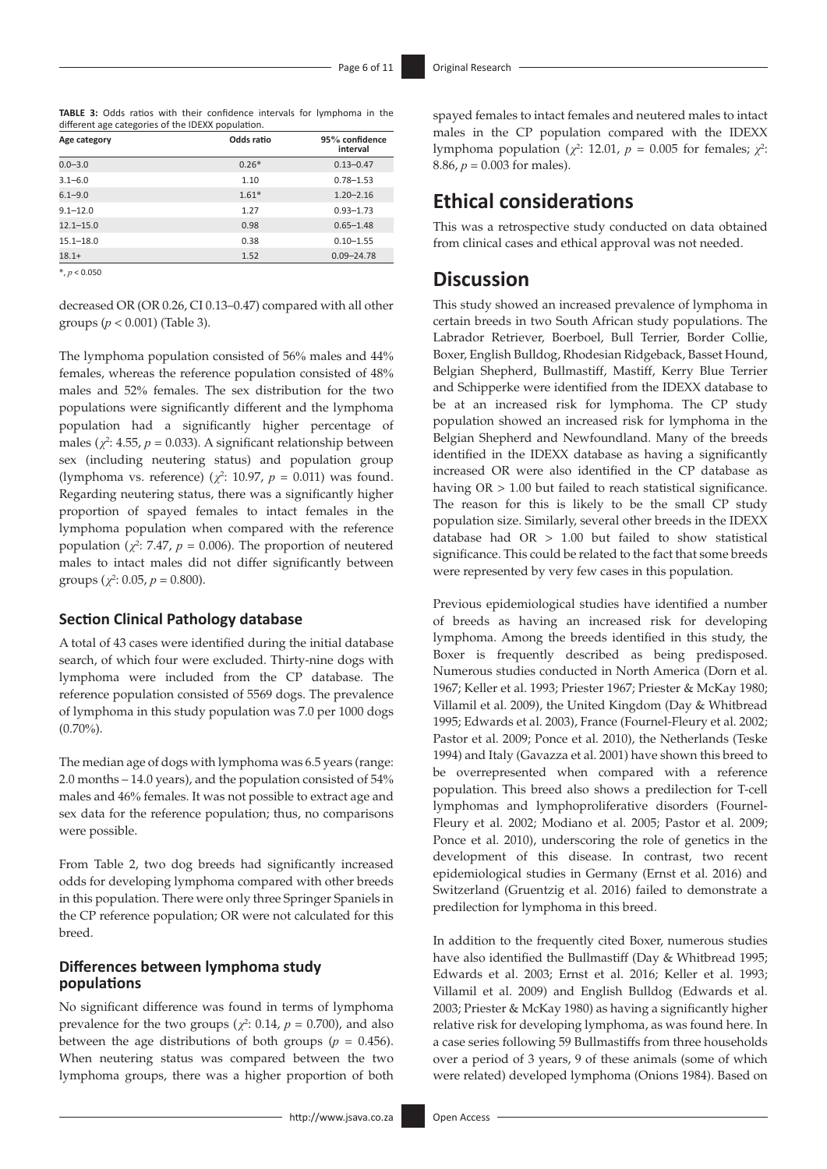**TABLE 3:** Odds ratios with their confidence intervals for lymphoma in the different age categories of the IDEXX population.

| Age category     | Odds ratio | 95% confidence<br>interval |
|------------------|------------|----------------------------|
| $0.0 - 3.0$      | $0.26*$    | $0.13 - 0.47$              |
| $3.1 - 6.0$      | 1.10       | $0.78 - 1.53$              |
| $6.1 - 9.0$      | $1.61*$    | $1.20 - 2.16$              |
| $9.1 - 12.0$     | 1.27       | $0.93 - 1.73$              |
| $12.1 - 15.0$    | 0.98       | $0.65 - 1.48$              |
| $15.1 - 18.0$    | 0.38       | $0.10 - 1.55$              |
| $18.1+$          | 1.52       | $0.09 - 24.78$             |
| $*$ $\sim$ 0.050 |            |                            |

\*, *p* < 0.050

decreased OR (OR 0.26, CI 0.13–0.47) compared with all other groups (*p* < 0.001) (Table 3).

The lymphoma population consisted of 56% males and 44% females, whereas the reference population consisted of 48% males and 52% females. The sex distribution for the two populations were significantly different and the lymphoma population had a significantly higher percentage of males ( $\chi^2$ : 4.55,  $p = 0.033$ ). A significant relationship between sex (including neutering status) and population group (lymphoma vs. reference) ( $\chi^2$ : 10.97,  $p = 0.011$ ) was found. Regarding neutering status, there was a significantly higher proportion of spayed females to intact females in the lymphoma population when compared with the reference population  $(\chi^2: 7.47, p = 0.006)$ . The proportion of neutered males to intact males did not differ significantly between groups  $(\chi^2: 0.05, p = 0.800)$ .

#### **Section Clinical Pathology database**

A total of 43 cases were identified during the initial database search, of which four were excluded. Thirty-nine dogs with lymphoma were included from the CP database. The reference population consisted of 5569 dogs. The prevalence of lymphoma in this study population was 7.0 per 1000 dogs  $(0.70\%)$ .

The median age of dogs with lymphoma was 6.5 years (range: 2.0 months – 14.0 years), and the population consisted of 54% males and 46% females. It was not possible to extract age and sex data for the reference population; thus, no comparisons were possible.

From Table 2, two dog breeds had significantly increased odds for developing lymphoma compared with other breeds in this population. There were only three Springer Spaniels in the CP reference population; OR were not calculated for this breed.

### **Differences between lymphoma study populations**

No significant difference was found in terms of lymphoma prevalence for the two groups ( $\chi^2$ : 0.14,  $p = 0.700$ ), and also between the age distributions of both groups ( $p = 0.456$ ). When neutering status was compared between the two lymphoma groups, there was a higher proportion of both spayed females to intact females and neutered males to intact males in the CP population compared with the IDEXX lymphoma population ( $\chi^2$ : 12.01,  $p = 0.005$  for females;  $\chi^2$ : 8.86,  $p = 0.003$  for males).

# **Ethical considerations**

This was a retrospective study conducted on data obtained from clinical cases and ethical approval was not needed.

# **Discussion**

This study showed an increased prevalence of lymphoma in certain breeds in two South African study populations. The Labrador Retriever, Boerboel, Bull Terrier, Border Collie, Boxer, English Bulldog, Rhodesian Ridgeback, Basset Hound, Belgian Shepherd, Bullmastiff, Mastiff, Kerry Blue Terrier and Schipperke were identified from the IDEXX database to be at an increased risk for lymphoma. The CP study population showed an increased risk for lymphoma in the Belgian Shepherd and Newfoundland. Many of the breeds identified in the IDEXX database as having a significantly increased OR were also identified in the CP database as having OR > 1.00 but failed to reach statistical significance. The reason for this is likely to be the small CP study population size. Similarly, several other breeds in the IDEXX database had OR > 1.00 but failed to show statistical significance. This could be related to the fact that some breeds were represented by very few cases in this population.

Previous epidemiological studies have identified a number of breeds as having an increased risk for developing lymphoma. Among the breeds identified in this study, the Boxer is frequently described as being predisposed. Numerous studies conducted in North America (Dorn et al. 1967; Keller et al. 1993; Priester 1967; Priester & McKay 1980; Villamil et al. 2009), the United Kingdom (Day & Whitbread 1995; Edwards et al. 2003), France (Fournel-Fleury et al. 2002; Pastor et al. 2009; Ponce et al. 2010), the Netherlands (Teske 1994) and Italy (Gavazza et al. 2001) have shown this breed to be overrepresented when compared with a reference population. This breed also shows a predilection for T-cell lymphomas and lymphoproliferative disorders (Fournel-Fleury et al. 2002; Modiano et al. 2005; Pastor et al. 2009; Ponce et al. 2010), underscoring the role of genetics in the development of this disease. In contrast, two recent epidemiological studies in Germany (Ernst et al. 2016) and Switzerland (Gruentzig et al. 2016) failed to demonstrate a predilection for lymphoma in this breed.

In addition to the frequently cited Boxer, numerous studies have also identified the Bullmastiff (Day & Whitbread 1995; Edwards et al. 2003; Ernst et al. 2016; Keller et al. 1993; Villamil et al. 2009) and English Bulldog (Edwards et al. 2003; Priester & McKay 1980) as having a significantly higher relative risk for developing lymphoma, as was found here. In a case series following 59 Bullmastiffs from three households over a period of 3 years, 9 of these animals (some of which were related) developed lymphoma (Onions 1984). Based on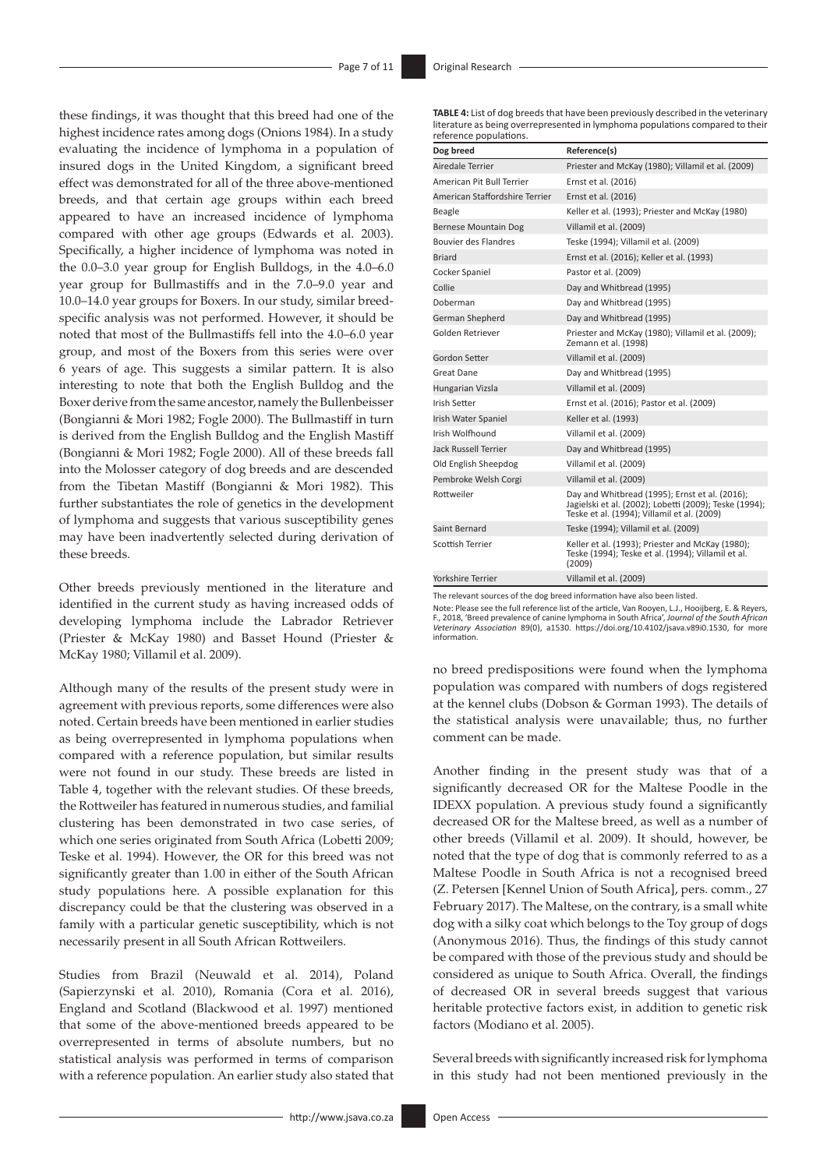these findings, it was thought that this breed had one of the highest incidence rates among dogs (Onions 1984). In a study evaluating the incidence of lymphoma in a population of insured dogs in the United Kingdom, a significant breed effect was demonstrated for all of the three above-mentioned breeds, and that certain age groups within each breed appeared to have an increased incidence of lymphoma compared with other age groups (Edwards et al. 2003). Specifically, a higher incidence of lymphoma was noted in the 0.0–3.0 year group for English Bulldogs, in the 4.0–6.0 year group for Bullmastiffs and in the 7.0–9.0 year and 10.0–14.0 year groups for Boxers. In our study, similar breedspecific analysis was not performed. However, it should be noted that most of the Bullmastiffs fell into the 4.0–6.0 year group, and most of the Boxers from this series were over 6 years of age. This suggests a similar pattern. It is also interesting to note that both the English Bulldog and the Boxer derive from the same ancestor, namely the Bullenbeisser (Bongianni & Mori 1982; Fogle 2000). The Bullmastiff in turn is derived from the English Bulldog and the English Mastiff (Bongianni & Mori 1982; Fogle 2000). All of these breeds fall into the Molosser category of dog breeds and are descended from the Tibetan Mastiff (Bongianni & Mori 1982). This further substantiates the role of genetics in the development of lymphoma and suggests that various susceptibility genes may have been inadvertently selected during derivation of these breeds.

Other breeds previously mentioned in the literature and identified in the current study as having increased odds of developing lymphoma include the Labrador Retriever (Priester & McKay 1980) and Basset Hound (Priester & McKay 1980; Villamil et al. 2009).

Although many of the results of the present study were in agreement with previous reports, some differences were also noted. Certain breeds have been mentioned in earlier studies as being overrepresented in lymphoma populations when compared with a reference population, but similar results were not found in our study. These breeds are listed in Table 4, together with the relevant studies. Of these breeds, the Rottweiler has featured in numerous studies, and familial clustering has been demonstrated in two case series, of which one series originated from South Africa (Lobetti 2009; Teske et al. 1994). However, the OR for this breed was not significantly greater than 1.00 in either of the South African study populations here. A possible explanation for this discrepancy could be that the clustering was observed in a family with a particular genetic susceptibility, which is not necessarily present in all South African Rottweilers.

Studies from Brazil (Neuwald et al. 2014), Poland (Sapierzynski et al. 2010), Romania (Cora et al. 2016), England and Scotland (Blackwood et al. 1997) mentioned that some of the above-mentioned breeds appeared to be overrepresented in terms of absolute numbers, but no statistical analysis was performed in terms of comparison with a reference population. An earlier study also stated that

**TABLE 4:** List of dog breeds that have been previously described in the veterinary literature as being overrepresented in lymphoma populations compared to their reference populations.

| Dog breed                      | Reference(s)                                                                                                                                            |
|--------------------------------|---------------------------------------------------------------------------------------------------------------------------------------------------------|
| Airedale Terrier               | Priester and McKay (1980); Villamil et al. (2009)                                                                                                       |
| American Pit Bull Terrier      | Ernst et al. (2016)                                                                                                                                     |
| American Staffordshire Terrier | Ernst et al. (2016)                                                                                                                                     |
| Beagle                         | Keller et al. (1993); Priester and McKay (1980)                                                                                                         |
| <b>Bernese Mountain Dog</b>    | Villamil et al. (2009)                                                                                                                                  |
| Bouvier des Flandres           | Teske (1994); Villamil et al. (2009)                                                                                                                    |
| <b>Briard</b>                  | Ernst et al. (2016); Keller et al. (1993)                                                                                                               |
| Cocker Spaniel                 | Pastor et al. (2009)                                                                                                                                    |
| Collie                         | Day and Whitbread (1995)                                                                                                                                |
| Doberman                       | Day and Whitbread (1995)                                                                                                                                |
| German Shepherd                | Day and Whitbread (1995)                                                                                                                                |
| Golden Retriever               | Priester and McKay (1980); Villamil et al. (2009);<br>Zemann et al. (1998)                                                                              |
| Gordon Setter                  | Villamil et al. (2009)                                                                                                                                  |
| <b>Great Dane</b>              | Day and Whitbread (1995)                                                                                                                                |
| Hungarian Vizsla               | Villamil et al. (2009)                                                                                                                                  |
| Irish Setter                   | Ernst et al. (2016); Pastor et al. (2009)                                                                                                               |
| Irish Water Spaniel            | Keller et al. (1993)                                                                                                                                    |
| Irish Wolfhound                | Villamil et al. (2009)                                                                                                                                  |
| <b>Jack Russell Terrier</b>    | Day and Whitbread (1995)                                                                                                                                |
| Old English Sheepdog           | Villamil et al. (2009)                                                                                                                                  |
| Pembroke Welsh Corgi           | Villamil et al. (2009)                                                                                                                                  |
| Rottweiler                     | Day and Whitbread (1995); Ernst et al. (2016);<br>Jagielski et al. (2002); Lobetti (2009); Teske (1994);<br>Teske et al. (1994); Villamil et al. (2009) |
| Saint Bernard                  | Teske (1994); Villamil et al. (2009)                                                                                                                    |
| Scottish Terrier               | Keller et al. (1993); Priester and McKay (1980);<br>Teske (1994); Teske et al. (1994); Villamil et al.<br>(2009)                                        |
| Yorkshire Terrier              | Villamil et al. (2009)                                                                                                                                  |

The relevant sources of the dog breed information have also been listed.

Note: Please see the full reference list of the article, Van Rooyen, L.J., Hooijberg, E. & Reyers, F., 2018, 'Breed prevalence of canine lymphoma in South Africa', *Journal of the South African Veterinary Association* 89(0), a1530. [https://doi.org/10.4102/jsava.v89i0.1530,](https://doi.org/10.4102/jsava.v89i0.1530) for more information.

no breed predispositions were found when the lymphoma population was compared with numbers of dogs registered at the kennel clubs (Dobson & Gorman 1993). The details of the statistical analysis were unavailable; thus, no further comment can be made.

Another finding in the present study was that of a significantly decreased OR for the Maltese Poodle in the IDEXX population. A previous study found a significantly decreased OR for the Maltese breed, as well as a number of other breeds (Villamil et al. 2009). It should, however, be noted that the type of dog that is commonly referred to as a Maltese Poodle in South Africa is not a recognised breed (Z. Petersen [Kennel Union of South Africa], pers. comm., 27 February 2017). The Maltese, on the contrary, is a small white dog with a silky coat which belongs to the Toy group of dogs (Anonymous 2016). Thus, the findings of this study cannot be compared with those of the previous study and should be considered as unique to South Africa. Overall, the findings of decreased OR in several breeds suggest that various heritable protective factors exist, in addition to genetic risk factors (Modiano et al. 2005).

Several breeds with significantly increased risk for lymphoma in this study had not been mentioned previously in the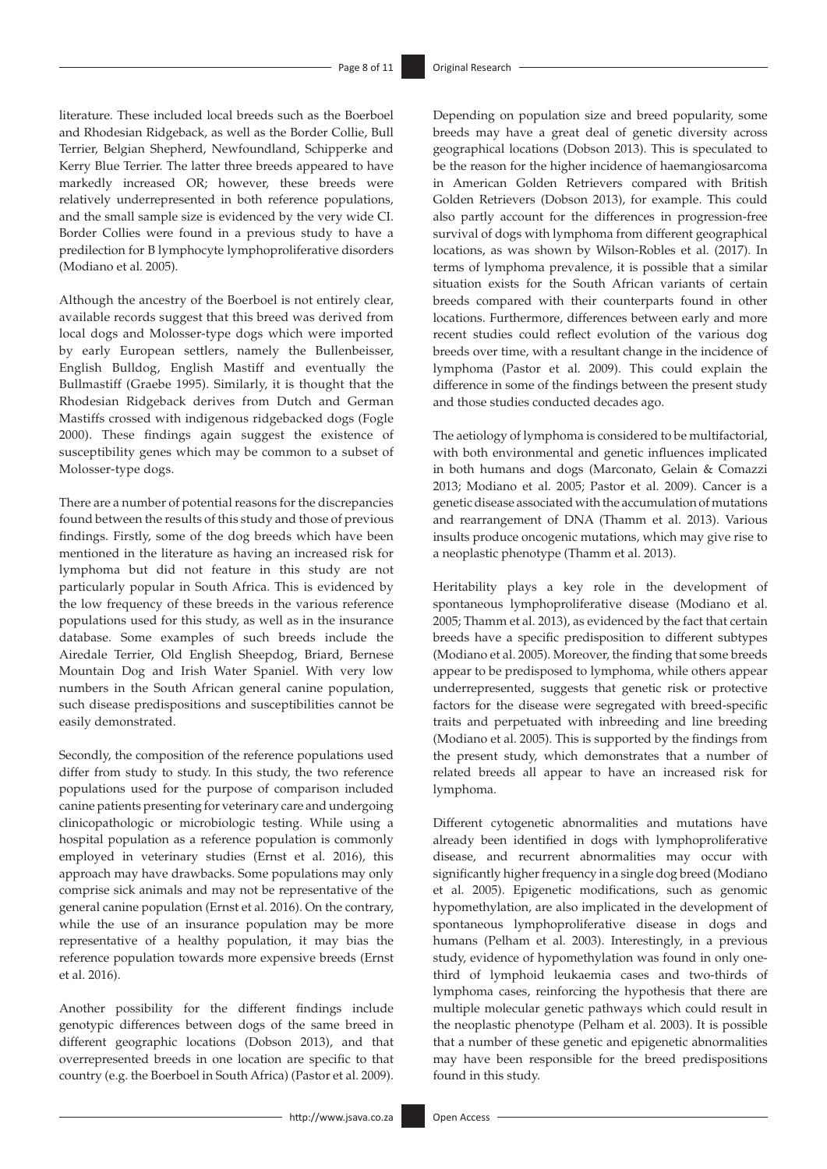literature. These included local breeds such as the Boerboel and Rhodesian Ridgeback, as well as the Border Collie, Bull Terrier, Belgian Shepherd, Newfoundland, Schipperke and Kerry Blue Terrier. The latter three breeds appeared to have markedly increased OR; however, these breeds were relatively underrepresented in both reference populations, and the small sample size is evidenced by the very wide CI. Border Collies were found in a previous study to have a predilection for B lymphocyte lymphoproliferative disorders (Modiano et al. 2005).

Although the ancestry of the Boerboel is not entirely clear, available records suggest that this breed was derived from local dogs and Molosser-type dogs which were imported by early European settlers, namely the Bullenbeisser, English Bulldog, English Mastiff and eventually the Bullmastiff (Graebe 1995). Similarly, it is thought that the Rhodesian Ridgeback derives from Dutch and German Mastiffs crossed with indigenous ridgebacked dogs (Fogle 2000). These findings again suggest the existence of susceptibility genes which may be common to a subset of Molosser-type dogs.

There are a number of potential reasons for the discrepancies found between the results of this study and those of previous findings. Firstly, some of the dog breeds which have been mentioned in the literature as having an increased risk for lymphoma but did not feature in this study are not particularly popular in South Africa. This is evidenced by the low frequency of these breeds in the various reference populations used for this study, as well as in the insurance database. Some examples of such breeds include the Airedale Terrier, Old English Sheepdog, Briard, Bernese Mountain Dog and Irish Water Spaniel. With very low numbers in the South African general canine population, such disease predispositions and susceptibilities cannot be easily demonstrated.

Secondly, the composition of the reference populations used differ from study to study. In this study, the two reference populations used for the purpose of comparison included canine patients presenting for veterinary care and undergoing clinicopathologic or microbiologic testing. While using a hospital population as a reference population is commonly employed in veterinary studies (Ernst et al. 2016), this approach may have drawbacks. Some populations may only comprise sick animals and may not be representative of the general canine population (Ernst et al. 2016). On the contrary, while the use of an insurance population may be more representative of a healthy population, it may bias the reference population towards more expensive breeds (Ernst et al. 2016).

Another possibility for the different findings include genotypic differences between dogs of the same breed in different geographic locations (Dobson 2013), and that overrepresented breeds in one location are specific to that country (e.g. the Boerboel in South Africa) (Pastor et al. 2009). Depending on population size and breed popularity, some breeds may have a great deal of genetic diversity across geographical locations (Dobson 2013). This is speculated to be the reason for the higher incidence of haemangiosarcoma in American Golden Retrievers compared with British Golden Retrievers (Dobson 2013), for example. This could also partly account for the differences in progression-free survival of dogs with lymphoma from different geographical locations, as was shown by Wilson-Robles et al. (2017). In terms of lymphoma prevalence, it is possible that a similar situation exists for the South African variants of certain breeds compared with their counterparts found in other locations. Furthermore, differences between early and more recent studies could reflect evolution of the various dog breeds over time, with a resultant change in the incidence of lymphoma (Pastor et al. 2009). This could explain the difference in some of the findings between the present study and those studies conducted decades ago.

The aetiology of lymphoma is considered to be multifactorial, with both environmental and genetic influences implicated in both humans and dogs (Marconato, Gelain & Comazzi 2013; Modiano et al. 2005; Pastor et al. 2009). Cancer is a genetic disease associated with the accumulation of mutations and rearrangement of DNA (Thamm et al. 2013). Various insults produce oncogenic mutations, which may give rise to a neoplastic phenotype (Thamm et al. 2013).

Heritability plays a key role in the development of spontaneous lymphoproliferative disease (Modiano et al. 2005; Thamm et al. 2013), as evidenced by the fact that certain breeds have a specific predisposition to different subtypes (Modiano et al. 2005). Moreover, the finding that some breeds appear to be predisposed to lymphoma, while others appear underrepresented, suggests that genetic risk or protective factors for the disease were segregated with breed-specific traits and perpetuated with inbreeding and line breeding (Modiano et al. 2005). This is supported by the findings from the present study, which demonstrates that a number of related breeds all appear to have an increased risk for lymphoma.

Different cytogenetic abnormalities and mutations have already been identified in dogs with lymphoproliferative disease, and recurrent abnormalities may occur with significantly higher frequency in a single dog breed (Modiano et al. 2005). Epigenetic modifications, such as genomic hypomethylation, are also implicated in the development of spontaneous lymphoproliferative disease in dogs and humans (Pelham et al. 2003). Interestingly, in a previous study, evidence of hypomethylation was found in only onethird of lymphoid leukaemia cases and two-thirds of lymphoma cases, reinforcing the hypothesis that there are multiple molecular genetic pathways which could result in the neoplastic phenotype (Pelham et al. 2003). It is possible that a number of these genetic and epigenetic abnormalities may have been responsible for the breed predispositions found in this study.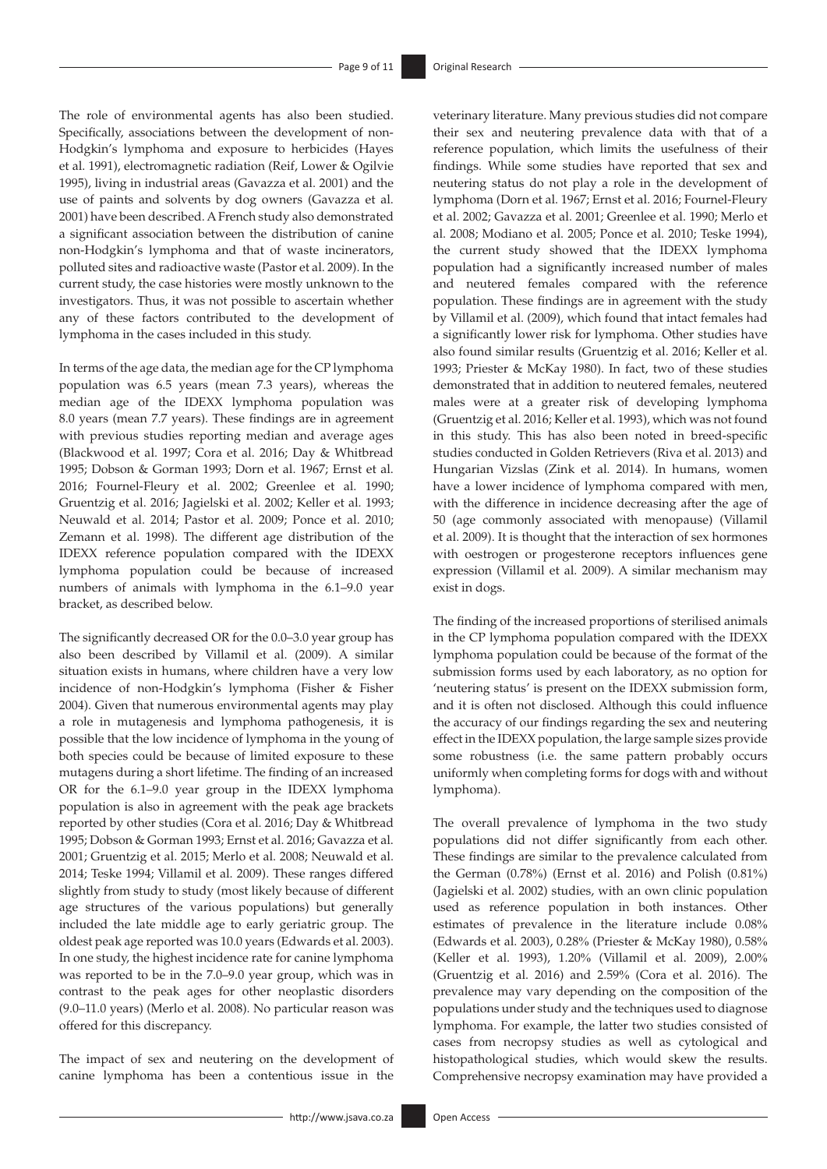The role of environmental agents has also been studied. Specifically, associations between the development of non-Hodgkin's lymphoma and exposure to herbicides (Hayes et al. 1991), electromagnetic radiation (Reif, Lower & Ogilvie 1995), living in industrial areas (Gavazza et al. 2001) and the use of paints and solvents by dog owners (Gavazza et al. 2001) have been described. A French study also demonstrated a significant association between the distribution of canine non-Hodgkin's lymphoma and that of waste incinerators, polluted sites and radioactive waste (Pastor et al. 2009). In the current study, the case histories were mostly unknown to the investigators. Thus, it was not possible to ascertain whether any of these factors contributed to the development of lymphoma in the cases included in this study.

In terms of the age data, the median age for the CP lymphoma population was 6.5 years (mean 7.3 years), whereas the median age of the IDEXX lymphoma population was 8.0 years (mean 7.7 years). These findings are in agreement with previous studies reporting median and average ages (Blackwood et al. 1997; Cora et al. 2016; Day & Whitbread 1995; Dobson & Gorman 1993; Dorn et al. 1967; Ernst et al. 2016; Fournel-Fleury et al. 2002; Greenlee et al. 1990; Gruentzig et al. 2016; Jagielski et al. 2002; Keller et al. 1993; Neuwald et al. 2014; Pastor et al. 2009; Ponce et al. 2010; Zemann et al. 1998). The different age distribution of the IDEXX reference population compared with the IDEXX lymphoma population could be because of increased numbers of animals with lymphoma in the 6.1–9.0 year bracket, as described below.

The significantly decreased OR for the 0.0–3.0 year group has also been described by Villamil et al. (2009). A similar situation exists in humans, where children have a very low incidence of non-Hodgkin's lymphoma (Fisher & Fisher 2004). Given that numerous environmental agents may play a role in mutagenesis and lymphoma pathogenesis, it is possible that the low incidence of lymphoma in the young of both species could be because of limited exposure to these mutagens during a short lifetime. The finding of an increased OR for the 6.1–9.0 year group in the IDEXX lymphoma population is also in agreement with the peak age brackets reported by other studies (Cora et al. 2016; Day & Whitbread 1995; Dobson & Gorman 1993; Ernst et al. 2016; Gavazza et al. 2001; Gruentzig et al. 2015; Merlo et al. 2008; Neuwald et al. 2014; Teske 1994; Villamil et al. 2009). These ranges differed slightly from study to study (most likely because of different age structures of the various populations) but generally included the late middle age to early geriatric group. The oldest peak age reported was 10.0 years (Edwards et al. 2003). In one study, the highest incidence rate for canine lymphoma was reported to be in the 7.0–9.0 year group, which was in contrast to the peak ages for other neoplastic disorders (9.0–11.0 years) (Merlo et al. 2008). No particular reason was offered for this discrepancy.

The impact of sex and neutering on the development of canine lymphoma has been a contentious issue in the

veterinary literature. Many previous studies did not compare their sex and neutering prevalence data with that of a reference population, which limits the usefulness of their findings. While some studies have reported that sex and neutering status do not play a role in the development of lymphoma (Dorn et al. 1967; Ernst et al. 2016; Fournel-Fleury et al. 2002; Gavazza et al. 2001; Greenlee et al. 1990; Merlo et al. 2008; Modiano et al. 2005; Ponce et al. 2010; Teske 1994), the current study showed that the IDEXX lymphoma population had a significantly increased number of males and neutered females compared with the reference population. These findings are in agreement with the study by Villamil et al. (2009), which found that intact females had a significantly lower risk for lymphoma. Other studies have also found similar results (Gruentzig et al. 2016; Keller et al. 1993; Priester & McKay 1980). In fact, two of these studies demonstrated that in addition to neutered females, neutered males were at a greater risk of developing lymphoma (Gruentzig et al. 2016; Keller et al. 1993), which was not found in this study. This has also been noted in breed-specific studies conducted in Golden Retrievers (Riva et al. 2013) and Hungarian Vizslas (Zink et al. 2014). In humans, women have a lower incidence of lymphoma compared with men, with the difference in incidence decreasing after the age of 50 (age commonly associated with menopause) (Villamil et al. 2009). It is thought that the interaction of sex hormones with oestrogen or progesterone receptors influences gene expression (Villamil et al. 2009). A similar mechanism may exist in dogs.

The finding of the increased proportions of sterilised animals in the CP lymphoma population compared with the IDEXX lymphoma population could be because of the format of the submission forms used by each laboratory, as no option for 'neutering status' is present on the IDEXX submission form, and it is often not disclosed. Although this could influence the accuracy of our findings regarding the sex and neutering effect in the IDEXX population, the large sample sizes provide some robustness (i.e. the same pattern probably occurs uniformly when completing forms for dogs with and without lymphoma).

The overall prevalence of lymphoma in the two study populations did not differ significantly from each other. These findings are similar to the prevalence calculated from the German (0.78%) (Ernst et al. 2016) and Polish (0.81%) (Jagielski et al. 2002) studies, with an own clinic population used as reference population in both instances. Other estimates of prevalence in the literature include 0.08% (Edwards et al. 2003), 0.28% (Priester & McKay 1980), 0.58% (Keller et al. 1993), 1.20% (Villamil et al. 2009), 2.00% (Gruentzig et al. 2016) and 2.59% (Cora et al. 2016). The prevalence may vary depending on the composition of the populations under study and the techniques used to diagnose lymphoma. For example, the latter two studies consisted of cases from necropsy studies as well as cytological and histopathological studies, which would skew the results. Comprehensive necropsy examination may have provided a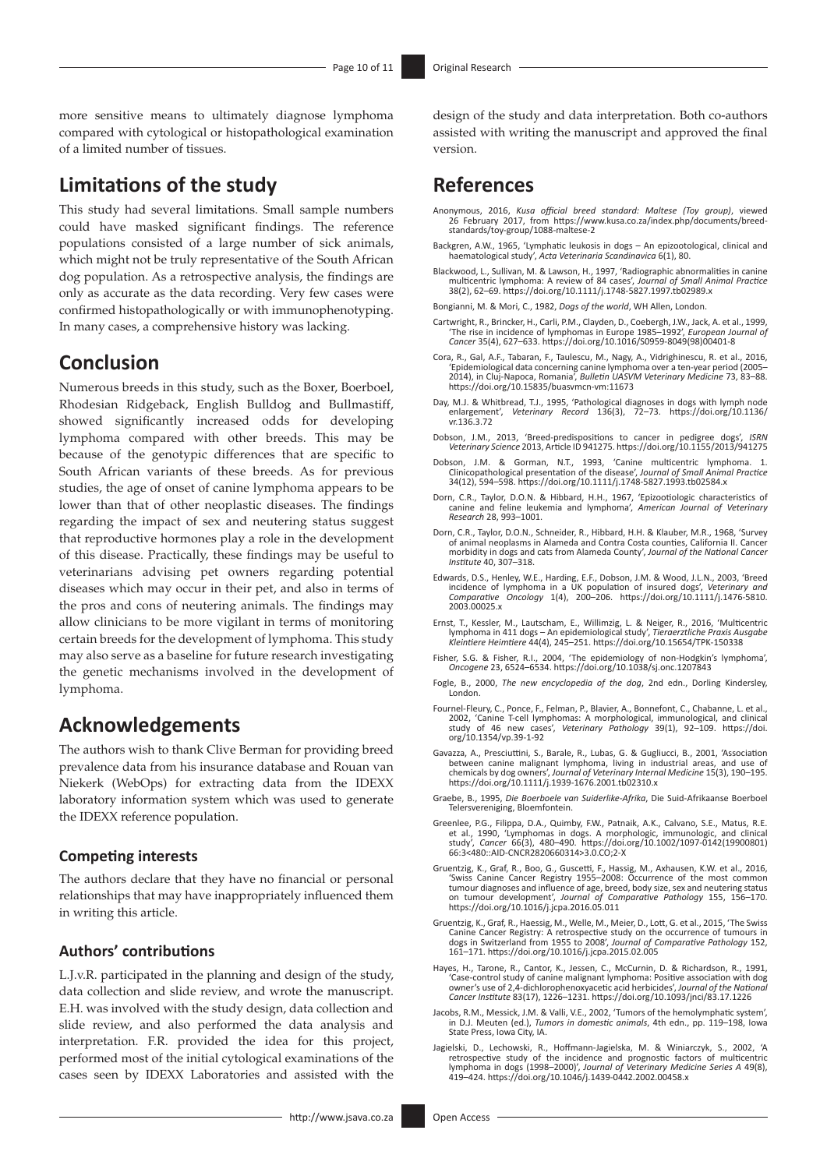more sensitive means to ultimately diagnose lymphoma compared with cytological or histopathological examination of a limited number of tissues.

# **Limitations of the study**

This study had several limitations. Small sample numbers could have masked significant findings. The reference populations consisted of a large number of sick animals, which might not be truly representative of the South African dog population. As a retrospective analysis, the findings are only as accurate as the data recording. Very few cases were confirmed histopathologically or with immunophenotyping. In many cases, a comprehensive history was lacking.

# **Conclusion**

Numerous breeds in this study, such as the Boxer, Boerboel, Rhodesian Ridgeback, English Bulldog and Bullmastiff, showed significantly increased odds for developing lymphoma compared with other breeds. This may be because of the genotypic differences that are specific to South African variants of these breeds. As for previous studies, the age of onset of canine lymphoma appears to be lower than that of other neoplastic diseases. The findings regarding the impact of sex and neutering status suggest that reproductive hormones play a role in the development of this disease. Practically, these findings may be useful to veterinarians advising pet owners regarding potential diseases which may occur in their pet, and also in terms of the pros and cons of neutering animals. The findings may allow clinicians to be more vigilant in terms of monitoring certain breeds for the development of lymphoma. This study may also serve as a baseline for future research investigating the genetic mechanisms involved in the development of lymphoma.

# **Acknowledgements**

The authors wish to thank Clive Berman for providing breed prevalence data from his insurance database and Rouan van Niekerk (WebOps) for extracting data from the IDEXX laboratory information system which was used to generate the IDEXX reference population.

#### **Competing interests**

The authors declare that they have no financial or personal relationships that may have inappropriately influenced them in writing this article.

### **Authors' contributions**

L.J.v.R. participated in the planning and design of the study, data collection and slide review, and wrote the manuscript. E.H. was involved with the study design, data collection and slide review, and also performed the data analysis and interpretation. F.R. provided the idea for this project, performed most of the initial cytological examinations of the cases seen by IDEXX Laboratories and assisted with the

design of the study and data interpretation. Both co-authors assisted with writing the manuscript and approved the final version.

# **References**

- Anonymous, 2016, *Kusa official breed standard: Maltese (Toy group)*, viewed 26 February 2017, from [https://www.kusa.co.za/index.php/documents/breed-](https://www.kusa.co.za/index.php/documents/breed-standards/toy-group/1088-maltese-2)[standards/toy-group/1088-maltese-2](https://www.kusa.co.za/index.php/documents/breed-standards/toy-group/1088-maltese-2)
- Backgren, A.W., 1965, 'Lymphatic leukosis in dogs An epizootological, clinical and haematological study', *Acta Veterinaria Scandinavica* 6(1), 80.
- Blackwood, L., Sullivan, M. & Lawson, H., 1997, 'Radiographic abnormalities in canine multicentric lymphoma: A review of 84 cases', *Journal of Small Animal Practice*  38(2), 62–69.<https://doi.org/10.1111/j.1748-5827.1997.tb02989.x>
- Bongianni, M. & Mori, C., 1982, *Dogs of the world*, WH Allen, London.
- Cartwright, R., Brincker, H., Carli, P.M., Clayden, D., Coebergh, J.W., Jack, A. et al., 1999, 'The rise in incidence of lymphomas in Europe 1985–1992', *European Journal of Cancer* 35(4), 627–633. [https://doi.org/10.1016/S0959-8049\(98\)00401-8](https://doi.org/10.1016/S0959-8049(98)00401-8)
- Cora, R., Gal, A.F., Tabaran, F., Taulescu, M., Nagy, A., Vidrighinescu, R. et al., 2016, 'Epidemiological data concerning canine lymphoma over a ten-year period (2005– 2014), in Cluj-Napoca, Romania', *Bulletin UASVM Veterinary Medicine* 73, 83–88. <https://doi.org/10.15835/buasvmcn-vm:11673>
- Day, M.J. & Whitbread, T.J., 1995, 'Pathological diagnoses in dogs with lymph node enlargement', *Veterinary Record* 136(3), 72–73. [https://doi.org/10.1136/](https://doi.org/10.1136/vr.136.3.72) [vr.136.3.72](https://doi.org/10.1136/vr.136.3.72)
- Dobson, J.M., 2013, 'Breed-predispositions to cancer in pedigree dogs', *ISRN Veterinary Science* 2013, Article ID 941275.<https://doi.org/10.1155/2013/941275>
- J.M. & Gorman, N.T., 1993, 'Canine multicentric lymphoma. Clinicopathological presentation of the disease', *Journal of Small Animal Practice*  34(12), 594–598.<https://doi.org/10.1111/j.1748-5827.1993.tb02584.x>
- Dorn, C.R., Taylor, D.O.N. & Hibbard, H.H., 1967, 'Epizootiologic characteristics of canine and feline leukemia and lymphoma', *American Journal of Veterinary Research* 28, 993–1001.
- Dorn, C.R., Taylor, D.O.N., Schneider, R., Hibbard, H.H. & Klauber, M.R., 1968, 'Survey of animal neoplasms in Alameda and Contra Costa counties, California II. Cancer morbidity in dogs and cats from Alameda County', *Journal of the National Cancer Institute* 40, 307–318.
- Edwards, D.S., Henley, W.E., Harding, E.F., Dobson, J.M. & Wood, J.L.N., 2003, 'Breed incidence of lymphoma in a UK population of insured dogs', *Veterinary and Comparative Oncology* 1(4), 200–206. [https://doi.org/10.1111/j.1476-5810.](https://doi.org/10.1111/j.1476-5810.2003.00025.x) [2003.00025.x](https://doi.org/10.1111/j.1476-5810.2003.00025.x)
- Ernst, T., Kessler, M., Lautscham, E., Willimzig, L. & Neiger, R., 2016, 'Multicentric lymphoma in 411 dogs – An epidemiological study', *Tieraerztliche Praxis Ausgabe Kleintiere Heimtiere* 44(4), 245–251.<https://doi.org/10.15654/TPK-150338>
- Fisher, S.G. & Fisher, R.I., 2004, 'The epidemiology of non-Hodgkin's lymphoma', *Oncogene* 23, 6524–6534. <https://doi.org/10.1038/sj.onc.1207843>
- Fogle, B., 2000, *The new encyclopedia of the dog*, 2nd edn., Dorling Kindersley, London.
- , Fournel-Fleury, C., Ponce, F., Felman, P., Blavier, A., Bonnefont, C., Chabanne, L. et al.,<br>2002, 'Canine T-cell lymphomas: A morphological, immunological, and clinical<br>1910, study of 46 new cases', *Veterinary Pathology* [org/10.1354/vp.39-1-92](https://doi.org/10.1354/vp.39-1-92)
- Gavazza, A., Presciuttini, S., Barale, R., Lubas, G. & Gugliucci, B., 2001, 'Association between canine malignant lymphoma, living in industrial areas, and use of chemicals by dog owners', *Journal of Veterinary Internal Medicine* 15(3), 190–195. <https://doi.org/10.1111/j.1939-1676.2001.tb02310.x>
- Graebe, B., 1995, *Die Boerboele van Suiderlike-Afrika*, Die Suid-Afrikaanse Boerboel Telersvereniging, Bloemfontein.
- Greenlee, P.G., Filippa, D.A., Quimby, F.W., Patnaik, A.K., Calvano, S.E., Matus, R.E.<br>et al., 1990, 'Lymphomas in dogs. A morphologic, immunologic, and clinical<br>study', Cancer 66(3), 480–490. https://doi.org/10.1002/1097-[66:3<480::AID-CNCR2820660314>3.0.CO;2-X](https://doi.org/10.1002/1097-0142(19900801)66:3<480::AID-CNCR2820660314>3.0.CO;2-X)
- Gruentzig, K., Graf, R., Boo, G., Guscetti, F., Hassig, M., Axhausen, K.W. et al., 2016, 'Swiss Canine Cancer Registry 1955–2008: Occurrence of the most common<br>tumour diagnoses and influence of age, breed, body size, sex and neutering status<br>on tumour development', Journal of Comparative Pathology 155, 156–170 <https://doi.org/10.1016/j.jcpa.2016.05.011>
- Gruentzig, K., Graf, R., Haessig, M., Welle, M., Meier, D., Lott, G. et al., 2015, 'The Swiss<br>Canine Cancer Registry: A retrospective study on the occurrence of tumours in<br>dogs in Switzerland from 1955 to 2008', Journal of 161–171.<https://doi.org/10.1016/j.jcpa.2015.02.005>
- Hayes, H., Tarone, R., Cantor, K., Jessen, C., McCurnin, D. & Richardson, R., 1991, 'Case-control study of canine malignant lymphoma: Positive association with dog owner's use of 2,4-dichlorophenoxyacetic acid herbicides', *Journal of the National Cancer Institute* 83(17), 1226–1231.<https://doi.org/10.1093/jnci/83.17.1226>
- Jacobs, R.M., Messick, J.M. & Valli, V.E., 2002, 'Tumors of the hemolymphatic system', in D.J. Meuten (ed.), *Tumors in domestic animals*, 4th edn., pp. 119–198, Iowa State Press, Iowa City, IA.
- Jagielski, D., Lechowski, R., Hoffmann-Jagielska, M. & Winiarczyk, S., 2002, 'A<br>retrospective study of the incidence and prognostic factors of multicentric<br>lymphoma in dogs (1998–2000)', Journal of Veterinary Medicine Seri 419–424.<https://doi.org/10.1046/j.1439-0442.2002.00458.x>